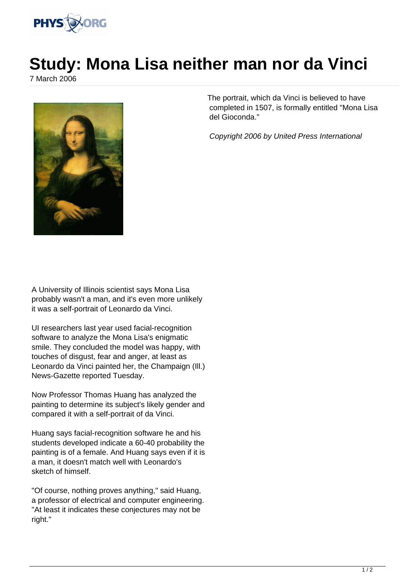

## **Study: Mona Lisa neither man nor da Vinci**

7 March 2006



The portrait, which da Vinci is believed to have completed in 1507, is formally entitled "Mona Lisa del Gioconda."

Copyright 2006 by United Press International

A University of Illinois scientist says Mona Lisa probably wasn't a man, and it's even more unlikely it was a self-portrait of Leonardo da Vinci.

UI researchers last year used facial-recognition software to analyze the Mona Lisa's enigmatic smile. They concluded the model was happy, with touches of disgust, fear and anger, at least as Leonardo da Vinci painted her, the Champaign (Ill.) News-Gazette reported Tuesday.

Now Professor Thomas Huang has analyzed the painting to determine its subject's likely gender and compared it with a self-portrait of da Vinci.

Huang says facial-recognition software he and his students developed indicate a 60-40 probability the painting is of a female. And Huang says even if it is a man, it doesn't match well with Leonardo's sketch of himself.

"Of course, nothing proves anything," said Huang, a professor of electrical and computer engineering. "At least it indicates these conjectures may not be right."